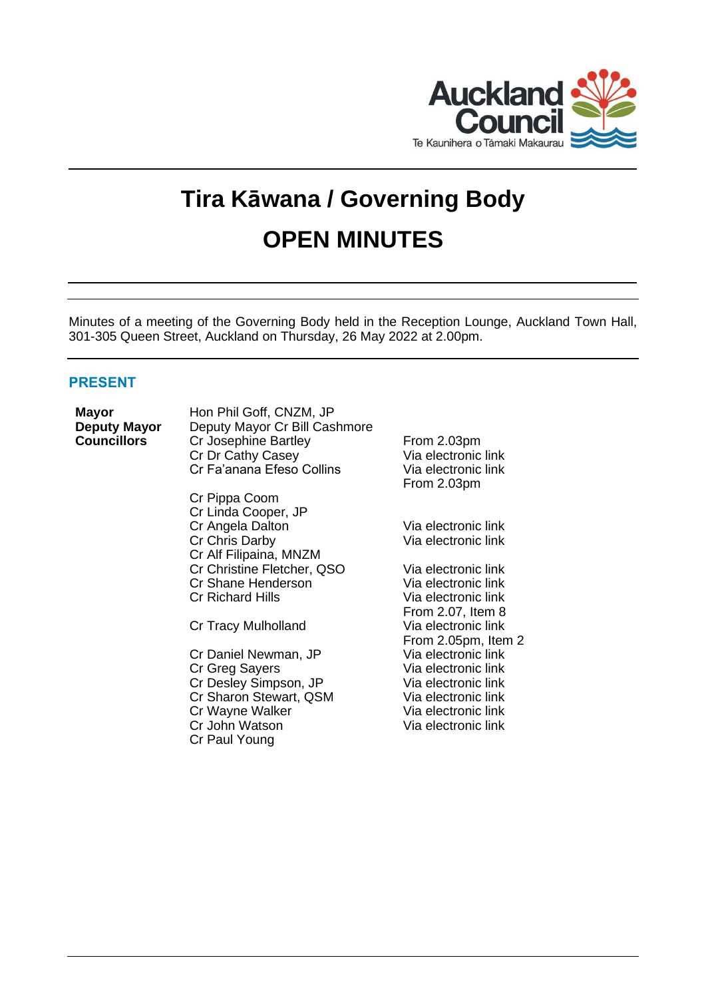

# **Tira Kāwana / Governing Body OPEN MINUTES**

Minutes of a meeting of the Governing Body held in the Reception Lounge, Auckland Town Hall, 301-305 Queen Street, Auckland on Thursday, 26 May 2022 at 2.00pm.

# **PRESENT**

**Mayor** Hon Phil Goff, CNZM, JP<br> **Deputy Mayor** Deputy Mayor Cr Bill Cas **Deputy Mayor** Deputy Mayor Cr Bill Cashmore<br>**Councillors** Cr Josephine Bartley **Cr Josephine Bartley From 2.03pm** Cr Dr Cathy Casey Via electronic link Cr Fa'anana Efeso Collins Via electronic link

> Cr Pippa Coom Cr Linda Cooper, JP Cr Angela Dalton Via electronic link<br>Cr Chris Darby Via electronic link Cr Chris Darby Cr Alf Filipaina, MNZM Cr Christine Fletcher, QSO Via electronic link Cr Shane Henderson<br>Cr Richard Hills

> Cr Tracy Mulholland Via electronic link

Cr Daniel Newman, JP Via electronic link Cr Greg Sayers Via electronic link Cr Desley Simpson, JP Via electronic link Cr Sharon Stewart, QSM Via electronic link Cr Wayne Walker Via electronic link Cr John Watson Via electronic link Cr Paul Young

From 2.03pm

Via electronic link From 2.07, Item 8 From 2.05pm, Item 2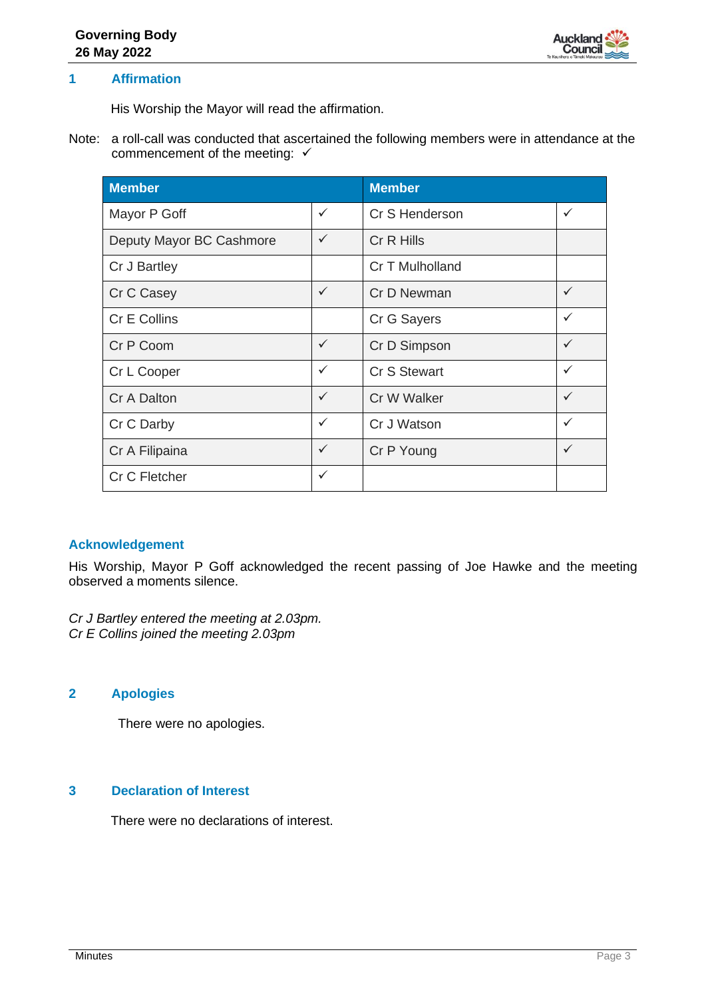

# **1 Affirmation**

His Worship the Mayor will read the affirmation.

Note: a roll-call was conducted that ascertained the following members were in attendance at the commencement of the meeting: ✓

| <b>Member</b>            |              | <b>Member</b>       |   |
|--------------------------|--------------|---------------------|---|
| Mayor P Goff             | $\checkmark$ | Cr S Henderson      | ✓ |
| Deputy Mayor BC Cashmore | $\checkmark$ | Cr R Hills          |   |
| Cr J Bartley             |              | Cr T Mulholland     |   |
| Cr C Casey               | $\checkmark$ | Cr D Newman         | ✓ |
| Cr E Collins             |              | Cr G Sayers         | ✓ |
| Cr P Coom                | $\checkmark$ | Cr D Simpson        | ✓ |
| Cr L Cooper              | $\checkmark$ | <b>Cr S Stewart</b> | ✓ |
| Cr A Dalton              | $\checkmark$ | Cr W Walker         | ✓ |
| Cr C Darby               | $\checkmark$ | Cr J Watson         | ✓ |
| Cr A Filipaina           | $\checkmark$ | Cr P Young          | ✓ |
| Cr C Fletcher            | $\checkmark$ |                     |   |

# **Acknowledgement**

His Worship, Mayor P Goff acknowledged the recent passing of Joe Hawke and the meeting observed a moments silence.

*Cr J Bartley entered the meeting at 2.03pm. Cr E Collins joined the meeting 2.03pm*

# **2 Apologies**

There were no apologies.

# **3 Declaration of Interest**

There were no declarations of interest.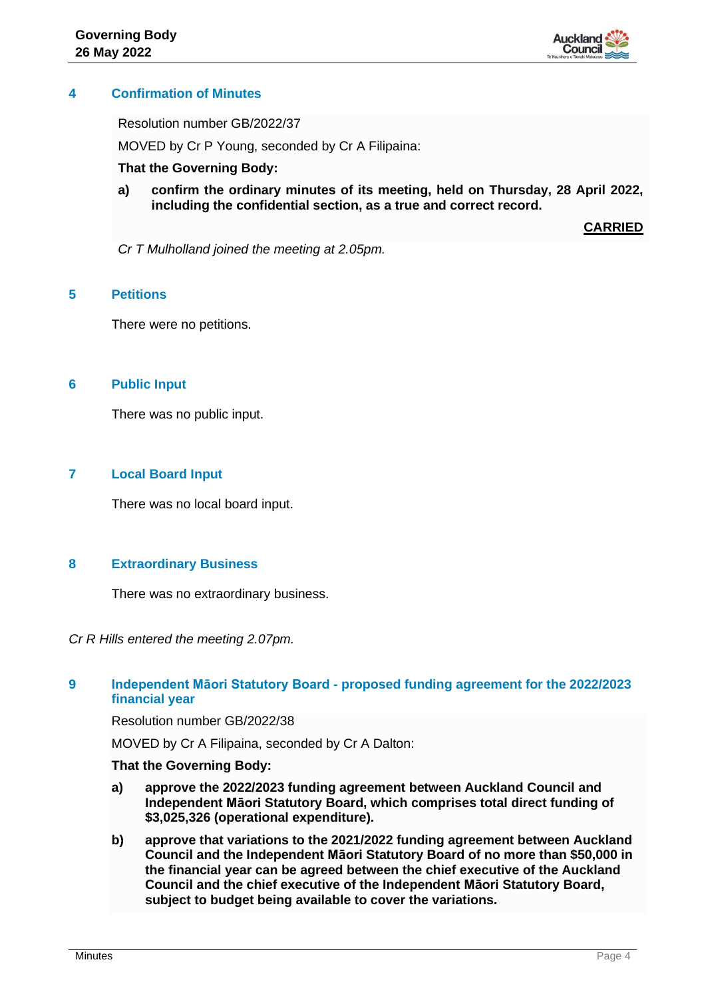

# **4 Confirmation of Minutes**

Resolution number GB/2022/37

MOVED by Cr P Young, seconded by Cr A Filipaina:

#### **That the Governing Body:**

**a) confirm the ordinary minutes of its meeting, held on Thursday, 28 April 2022, including the confidential section, as a true and correct record.**

**CARRIED**

*Cr T Mulholland joined the meeting at 2.05pm.*

# **5 Petitions**

There were no petitions.

## **6 Public Input**

There was no public input.

# **7 Local Board Input**

There was no local board input.

# **8 Extraordinary Business**

There was no extraordinary business.

*Cr R Hills entered the meeting 2.07pm.*

# **9 Independent Māori Statutory Board - proposed funding agreement for the 2022/2023 financial year**

Resolution number GB/2022/38

MOVED by Cr A Filipaina, seconded by Cr A Dalton:

#### **That the Governing Body:**

- **a) approve the 2022/2023 funding agreement between Auckland Council and Independent Māori Statutory Board, which comprises total direct funding of \$3,025,326 (operational expenditure).**
- **b) approve that variations to the 2021/2022 funding agreement between Auckland Council and the Independent Māori Statutory Board of no more than \$50,000 in the financial year can be agreed between the chief executive of the Auckland Council and the chief executive of the Independent Māori Statutory Board, subject to budget being available to cover the variations.**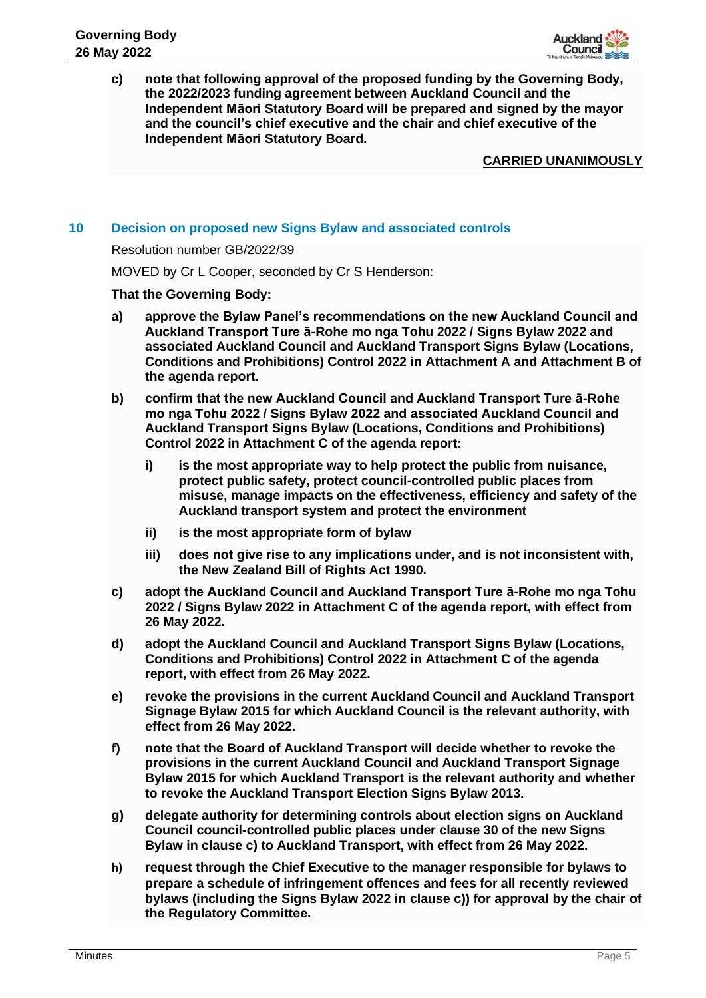

**c) note that following approval of the proposed funding by the Governing Body, the 2022/2023 funding agreement between Auckland Council and the Independent Māori Statutory Board will be prepared and signed by the mayor and the council's chief executive and the chair and chief executive of the Independent Māori Statutory Board.**

#### **CARRIED UNANIMOUSLY**

## **10 Decision on proposed new Signs Bylaw and associated controls**

Resolution number GB/2022/39

MOVED by Cr L Cooper, seconded by Cr S Henderson:

#### **That the Governing Body:**

- **a) approve the Bylaw Panel's recommendations on the new Auckland Council and Auckland Transport Ture ā-Rohe mo nga Tohu 2022 / Signs Bylaw 2022 and associated Auckland Council and Auckland Transport Signs Bylaw (Locations, Conditions and Prohibitions) Control 2022 in Attachment A and Attachment B of the agenda report.**
- **b) confirm that the new Auckland Council and Auckland Transport Ture ā-Rohe mo nga Tohu 2022 / Signs Bylaw 2022 and associated Auckland Council and Auckland Transport Signs Bylaw (Locations, Conditions and Prohibitions) Control 2022 in Attachment C of the agenda report:**
	- **i) is the most appropriate way to help protect the public from nuisance, protect public safety, protect council-controlled public places from misuse, manage impacts on the effectiveness, efficiency and safety of the Auckland transport system and protect the environment**
	- **ii) is the most appropriate form of bylaw**
	- **iii) does not give rise to any implications under, and is not inconsistent with, the New Zealand Bill of Rights Act 1990.**
- **c) adopt the Auckland Council and Auckland Transport Ture ā-Rohe mo nga Tohu 2022 / Signs Bylaw 2022 in Attachment C of the agenda report, with effect from 26 May 2022.**
- **d) adopt the Auckland Council and Auckland Transport Signs Bylaw (Locations, Conditions and Prohibitions) Control 2022 in Attachment C of the agenda report, with effect from 26 May 2022.**
- **e) revoke the provisions in the current Auckland Council and Auckland Transport Signage Bylaw 2015 for which Auckland Council is the relevant authority, with effect from 26 May 2022.**
- **f) note that the Board of Auckland Transport will decide whether to revoke the provisions in the current Auckland Council and Auckland Transport Signage Bylaw 2015 for which Auckland Transport is the relevant authority and whether to revoke the Auckland Transport Election Signs Bylaw 2013.**
- **g) delegate authority for determining controls about election signs on Auckland Council council-controlled public places under clause 30 of the new Signs Bylaw in clause c) to Auckland Transport, with effect from 26 May 2022.**
- **h) request through the Chief Executive to the manager responsible for bylaws to prepare a schedule of infringement offences and fees for all recently reviewed bylaws (including the Signs Bylaw 2022 in clause c)) for approval by the chair of the Regulatory Committee.**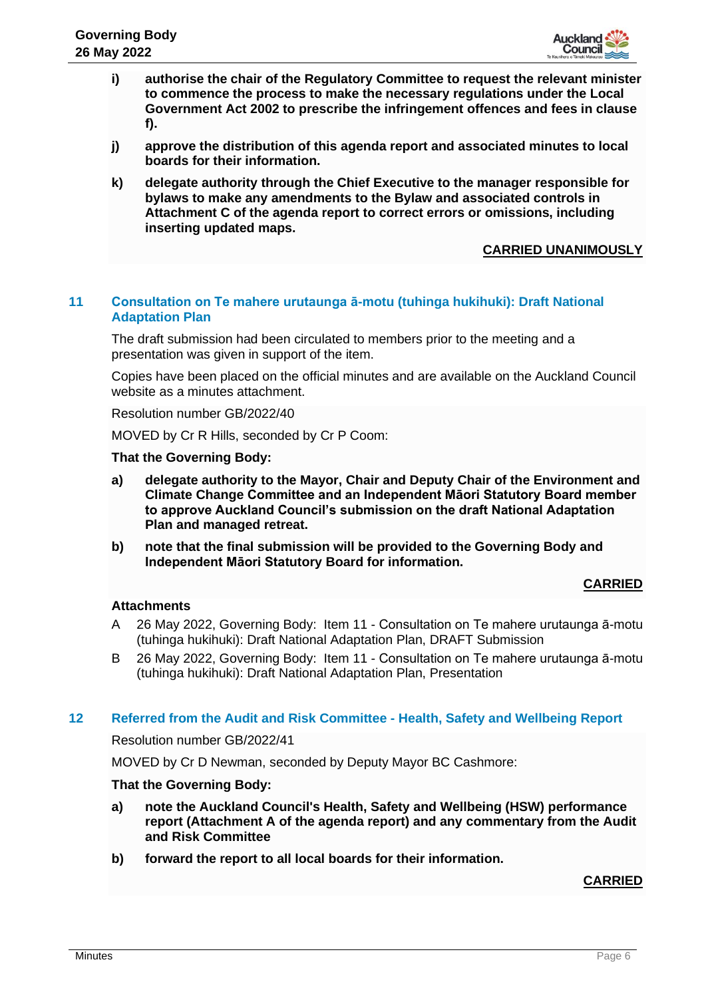

- **i) authorise the chair of the Regulatory Committee to request the relevant minister to commence the process to make the necessary regulations under the Local Government Act 2002 to prescribe the infringement offences and fees in clause f).**
- **j) approve the distribution of this agenda report and associated minutes to local boards for their information.**
- **k) delegate authority through the Chief Executive to the manager responsible for bylaws to make any amendments to the Bylaw and associated controls in Attachment C of the agenda report to correct errors or omissions, including inserting updated maps.**

# **CARRIED UNANIMOUSLY**

# **11 Consultation on Te mahere urutaunga ā-motu (tuhinga hukihuki): Draft National Adaptation Plan**

The draft submission had been circulated to members prior to the meeting and a presentation was given in support of the item.

Copies have been placed on the official minutes and are available on the Auckland Council website as a minutes attachment.

Resolution number GB/2022/40

MOVED by Cr R Hills, seconded by Cr P Coom:

#### **That the Governing Body:**

- **a) delegate authority to the Mayor, Chair and Deputy Chair of the Environment and Climate Change Committee and an Independent Māori Statutory Board member to approve Auckland Council's submission on the draft National Adaptation Plan and managed retreat.**
- **b) note that the final submission will be provided to the Governing Body and Independent Māori Statutory Board for information.**

#### **CARRIED**

# **Attachments**

- A 26 May 2022, Governing Body: Item 11 Consultation on Te mahere urutaunga ā-motu (tuhinga hukihuki): Draft National Adaptation Plan, DRAFT Submission
- B 26 May 2022, Governing Body: Item 11 Consultation on Te mahere urutaunga ā-motu (tuhinga hukihuki): Draft National Adaptation Plan, Presentation

#### **12 Referred from the Audit and Risk Committee - Health, Safety and Wellbeing Report**

Resolution number GB/2022/41

MOVED by Cr D Newman, seconded by Deputy Mayor BC Cashmore:

#### **That the Governing Body:**

- **a) note the Auckland Council's Health, Safety and Wellbeing (HSW) performance report (Attachment A of the agenda report) and any commentary from the Audit and Risk Committee**
- **b) forward the report to all local boards for their information.**

# **CARRIED**